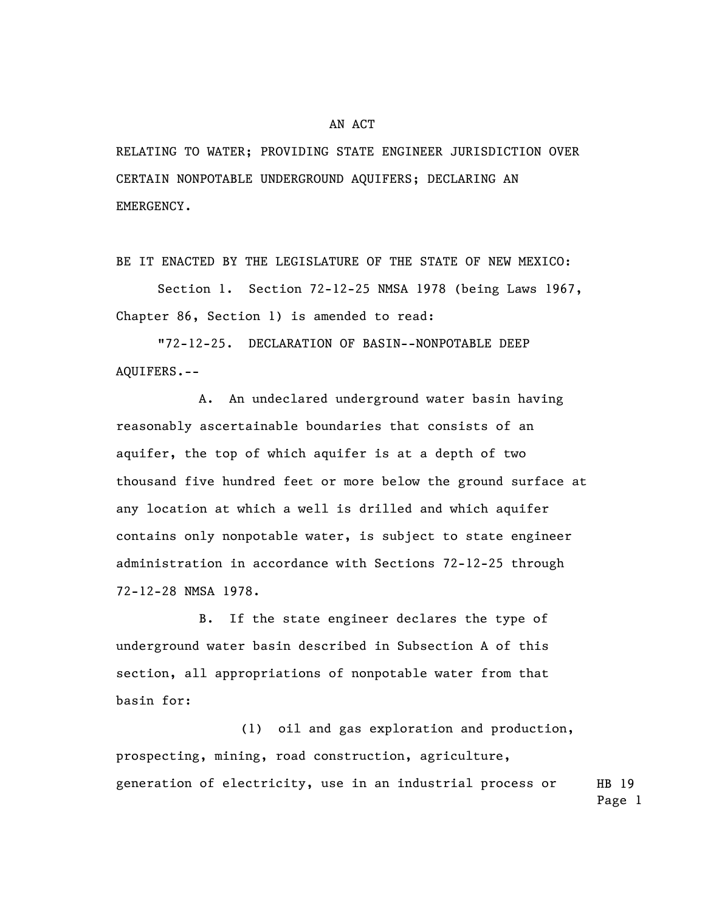## AN ACT

RELATING TO WATER; PROVIDING STATE ENGINEER JURISDICTION OVER CERTAIN NONPOTABLE UNDERGROUND AQUIFERS; DECLARING AN EMERGENCY.

BE IT ENACTED BY THE LEGISLATURE OF THE STATE OF NEW MEXICO:

Section 1. Section 72-12-25 NMSA 1978 (being Laws 1967, Chapter 86, Section 1) is amended to read:

"72-12-25. DECLARATION OF BASIN--NONPOTABLE DEEP AQUIFERS.--

A. An undeclared underground water basin having reasonably ascertainable boundaries that consists of an aquifer, the top of which aquifer is at a depth of two thousand five hundred feet or more below the ground surface at any location at which a well is drilled and which aquifer contains only nonpotable water, is subject to state engineer administration in accordance with Sections 72-12-25 through 72-12-28 NMSA 1978.

B. If the state engineer declares the type of underground water basin described in Subsection A of this section, all appropriations of nonpotable water from that basin for:

HB 19 (1) oil and gas exploration and production, prospecting, mining, road construction, agriculture, generation of electricity, use in an industrial process or

Page 1